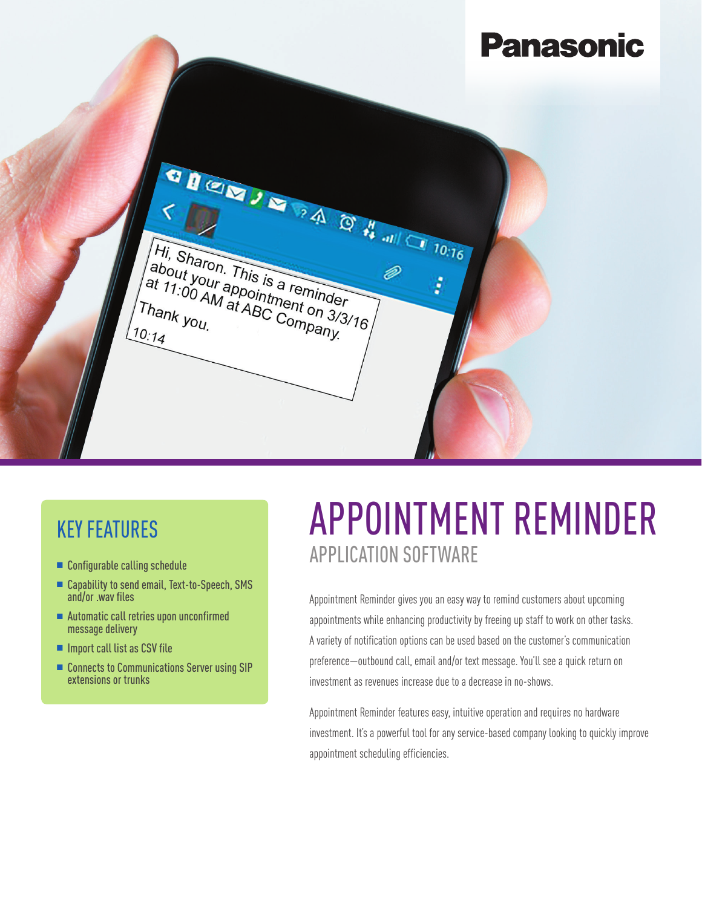**Panasonic**  $\begin{array}{c}\n\bullet \text{ B} & \bullet \text{ B} \\
\bullet \text{ C} & \bullet \text{ D} \\
\bullet \text{ D1}, \text{ Sharon.} & \bullet \text{ D1} \\
\bullet \text{ D2}, \text{ D3} & \bullet \text{ D2} \\
\bullet \text{ D1}, \text{ D2} & \bullet \text{ D2} \\
\bullet \text{ D2}, \text{ D3} & \bullet \text{ D3} \\
\bullet \text{ D1}, \text{ D2}, \text{ D3} & \bullet \text{ D1} \\
\bullet \text{ D2}, \text{ D3} & \bullet \text{ D2} \\
\bullet \text{ D1}, \text{ D2}, \text{ D3} & \bullet \text{ D2}$ Hi, Sharon. This is a reminder<br>about your appointment<br>at 11:00 AM at ABC C. On 3/3/3 <sup>Hi, Sharon.</sup> This is a reminder<br>at 11:00 AM at ABC Company.<br>Thank you. at ABC Company.<br>0:14 D ł Thank you.<br><sup>10:11</sup>  $10:14$ 

## KEY FEATURES

- $\blacksquare$  Configurable calling schedule
- Capability to send email, Text-to-Speech, SMS and/or .wav files
- $\blacksquare$  Automatic call retries upon unconfirmed message delivery
- $\blacksquare$  Import call list as CSV file
- Connects to Communications Server using SIP extensions or trunks

## APPOINTMENT REMINDER APPLICATION SOFTWARE

Appointment Reminder gives you an easy way to remind customers about upcoming appointments while enhancing productivity by freeing up staff to work on other tasks. A variety of notification options can be used based on the customer's communication preference—outbound call, email and/or text message. You'll see a quick return on investment as revenues increase due to a decrease in no-shows.

Appointment Reminder features easy, intuitive operation and requires no hardware investment. It's a powerful tool for any service-based company looking to quickly improve appointment scheduling efficiencies.